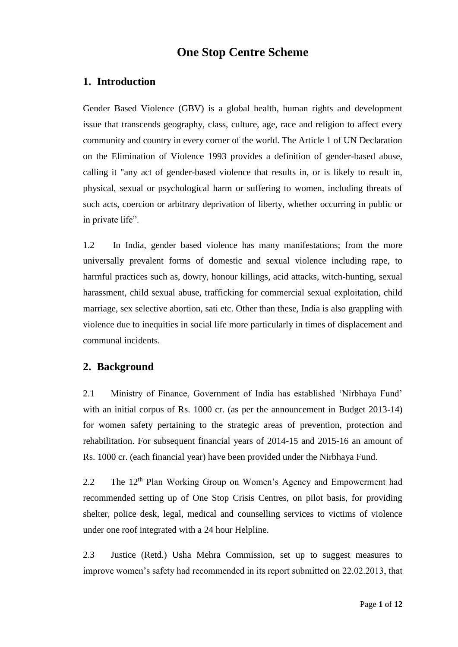# **One Stop Centre Scheme**

# **1. Introduction**

Gender Based Violence (GBV) is a global health, human rights and development issue that transcends geography, class, culture, age, race and religion to affect every community and country in every corner of the world. The Article 1 of UN Declaration on the Elimination of Violence 1993 provides a definition of gender-based abuse, calling it "any act of gender-based violence that results in, or is likely to result in, physical, sexual or psychological harm or suffering to women, including threats of such acts, coercion or arbitrary deprivation of liberty, whether occurring in public or in private life".

1.2 In India, gender based violence has many manifestations; from the more universally prevalent forms of domestic and sexual violence including rape, to harmful practices such as, dowry, honour killings, acid attacks, witch-hunting, sexual harassment, child sexual abuse, trafficking for commercial sexual exploitation, child marriage, sex selective abortion, sati etc. Other than these, India is also grappling with violence due to inequities in social life more particularly in times of displacement and communal incidents.

# **2. Background**

2.1 Ministry of Finance, Government of India has established 'Nirbhaya Fund' with an initial corpus of Rs. 1000 cr. (as per the announcement in Budget 2013-14) for women safety pertaining to the strategic areas of prevention, protection and rehabilitation. For subsequent financial years of 2014-15 and 2015-16 an amount of Rs. 1000 cr. (each financial year) have been provided under the Nirbhaya Fund.

2.2 The 12<sup>th</sup> Plan Working Group on Women's Agency and Empowerment had recommended setting up of One Stop Crisis Centres, on pilot basis, for providing shelter, police desk, legal, medical and counselling services to victims of violence under one roof integrated with a 24 hour Helpline.

2.3 Justice (Retd.) Usha Mehra Commission, set up to suggest measures to improve women's safety had recommended in its report submitted on 22.02.2013, that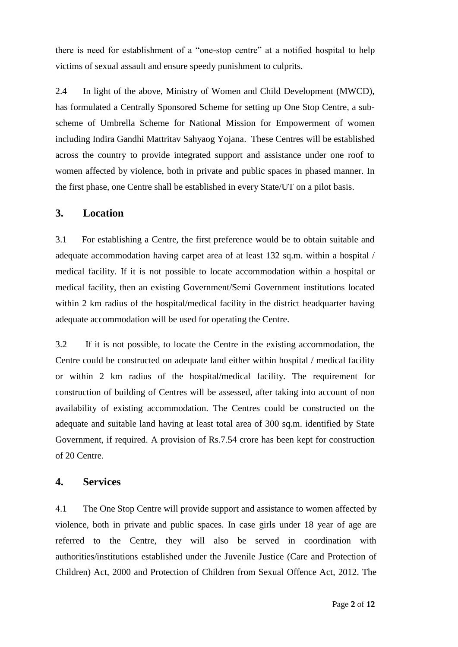there is need for establishment of a "one-stop centre" at a notified hospital to help victims of sexual assault and ensure speedy punishment to culprits.

2.4 In light of the above, Ministry of Women and Child Development (MWCD), has formulated a Centrally Sponsored Scheme for setting up One Stop Centre, a subscheme of Umbrella Scheme for National Mission for Empowerment of women including Indira Gandhi Mattritav Sahyaog Yojana. These Centres will be established across the country to provide integrated support and assistance under one roof to women affected by violence, both in private and public spaces in phased manner. In the first phase, one Centre shall be established in every State/UT on a pilot basis.

#### **3. Location**

3.1 For establishing a Centre, the first preference would be to obtain suitable and adequate accommodation having carpet area of at least 132 sq.m. within a hospital / medical facility. If it is not possible to locate accommodation within a hospital or medical facility, then an existing Government/Semi Government institutions located within 2 km radius of the hospital/medical facility in the district headquarter having adequate accommodation will be used for operating the Centre.

3.2 If it is not possible, to locate the Centre in the existing accommodation, the Centre could be constructed on adequate land either within hospital / medical facility or within 2 km radius of the hospital/medical facility. The requirement for construction of building of Centres will be assessed, after taking into account of non availability of existing accommodation. The Centres could be constructed on the adequate and suitable land having at least total area of 300 sq.m. identified by State Government, if required. A provision of Rs.7.54 crore has been kept for construction of 20 Centre.

#### **4. Services**

4.1 The One Stop Centre will provide support and assistance to women affected by violence, both in private and public spaces. In case girls under 18 year of age are referred to the Centre, they will also be served in coordination with authorities/institutions established under the Juvenile Justice (Care and Protection of Children) Act, 2000 and Protection of Children from Sexual Offence Act, 2012. The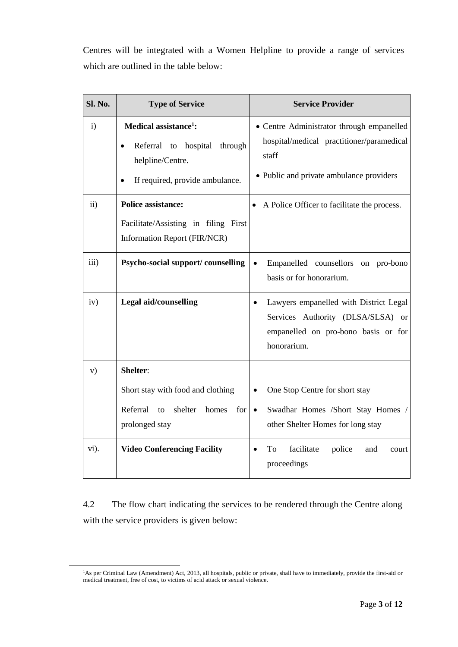Centres will be integrated with a Women Helpline to provide a range of services which are outlined in the table below:

| Sl. No.       | <b>Type of Service</b>                                                                                                           | <b>Service Provider</b>                                                                                                                        |  |  |  |
|---------------|----------------------------------------------------------------------------------------------------------------------------------|------------------------------------------------------------------------------------------------------------------------------------------------|--|--|--|
| $\mathbf{i}$  | Medical assistance <sup>1</sup> :<br>Referral to hospital<br>through<br>helpline/Centre.<br>If required, provide ambulance.<br>٠ | • Centre Administrator through empanelled<br>hospital/medical practitioner/paramedical<br>staff<br>• Public and private ambulance providers    |  |  |  |
| $\mathbf{ii}$ | <b>Police assistance:</b><br>Facilitate/Assisting in filing First<br>Information Report (FIR/NCR)                                | A Police Officer to facilitate the process.                                                                                                    |  |  |  |
| iii)          | Psycho-social support/counselling                                                                                                | Empanelled counsellors<br>on pro-bono<br>basis or for honorarium.                                                                              |  |  |  |
| iv)           | Legal aid/counselling                                                                                                            | Lawyers empanelled with District Legal<br>$\bullet$<br>Services Authority (DLSA/SLSA) or<br>empanelled on pro-bono basis or for<br>honorarium. |  |  |  |
| V)            | Shelter:                                                                                                                         |                                                                                                                                                |  |  |  |
|               | Short stay with food and clothing                                                                                                | One Stop Centre for short stay                                                                                                                 |  |  |  |
|               | Referral<br>shelter<br>$\overline{t}$<br>homes<br>for<br>prolonged stay                                                          | Swadhar Homes /Short Stay Homes /<br>$\bullet$<br>other Shelter Homes for long stay                                                            |  |  |  |
| vi).          | <b>Video Conferencing Facility</b>                                                                                               | facilitate<br>police<br>To<br>and<br>court<br>proceedings                                                                                      |  |  |  |

4.2 The flow chart indicating the services to be rendered through the Centre along with the service providers is given below:

**.** 

<sup>&</sup>lt;sup>1</sup>As per Criminal Law (Amendment) Act, 2013, all hospitals, public or private, shall have to immediately, provide the first-aid or medical treatment, free of cost, to victims of acid attack or sexual violence.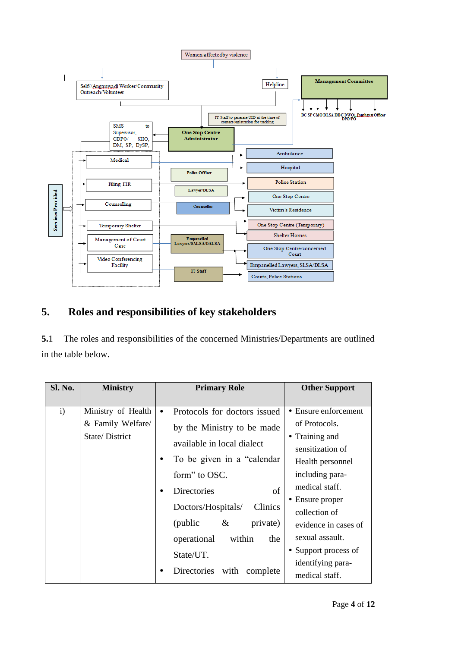

# **5. Roles and responsibilities of key stakeholders**

**5.**1 The roles and responsibilities of the concerned Ministries/Departments are outlined in the table below.

| Sl. No. | <b>Ministry</b>                                           | <b>Primary Role</b>                                                                                                                                                                                                                                                                                                     | <b>Other Support</b>                                                                                                                                                                                                                                                               |
|---------|-----------------------------------------------------------|-------------------------------------------------------------------------------------------------------------------------------------------------------------------------------------------------------------------------------------------------------------------------------------------------------------------------|------------------------------------------------------------------------------------------------------------------------------------------------------------------------------------------------------------------------------------------------------------------------------------|
| i)      | Ministry of Health<br>& Family Welfare/<br>State/District | Protocols for doctors issued<br>by the Ministry to be made<br>available in local dialect<br>To be given in a "calendar"<br>form" to OSC.<br>of<br><b>Directories</b><br>Clinics<br>Doctors/Hospitals/<br>private)<br>(public)<br>$\&$<br>operational<br>within<br>the<br>State/UT.<br>Directories with<br>complete<br>٠ | • Ensure enforcement<br>of Protocols.<br>• Training and<br>sensitization of<br>Health personnel<br>including para-<br>medical staff.<br>• Ensure proper<br>collection of<br>evidence in cases of<br>sexual assault.<br>• Support process of<br>identifying para-<br>medical staff. |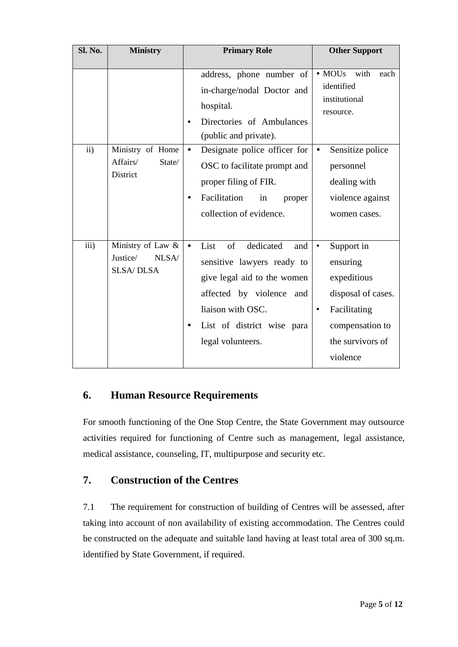| <b>Sl. No.</b> | <b>Ministry</b>                                            | <b>Primary Role</b>                                                                                                                                                                                             | <b>Other Support</b>                                                                                                                                     |
|----------------|------------------------------------------------------------|-----------------------------------------------------------------------------------------------------------------------------------------------------------------------------------------------------------------|----------------------------------------------------------------------------------------------------------------------------------------------------------|
|                |                                                            | address, phone number of<br>in-charge/nodal Doctor and<br>hospital.<br>Directories of Ambulances<br>$\bullet$<br>(public and private).                                                                          | • MOU <sub>s</sub> with<br>each<br>identified<br>institutional<br>resource.                                                                              |
| $\mathbf{ii}$  | Ministry of Home<br>Affairs/<br>State/<br>District         | Designate police officer for<br>$\bullet$<br>OSC to facilitate prompt and<br>proper filing of FIR.<br>Facilitation<br>in<br>proper<br>collection of evidence.                                                   | Sensitize police<br>٠<br>personnel<br>dealing with<br>violence against<br>women cases.                                                                   |
| iii)           | Ministry of Law &<br>Justice/<br>NLSA/<br><b>SLSA/DLSA</b> | List<br>dedicated<br>of<br>$\bullet$<br>and<br>sensitive lawyers ready to<br>give legal aid to the women<br>affected by violence<br>and<br>liaison with OSC.<br>List of district wise para<br>legal volunteers. | Support in<br>$\bullet$<br>ensuring<br>expeditious<br>disposal of cases.<br>Facilitating<br>$\bullet$<br>compensation to<br>the survivors of<br>violence |

# **6. Human Resource Requirements**

For smooth functioning of the One Stop Centre, the State Government may outsource activities required for functioning of Centre such as management, legal assistance, medical assistance, counseling, IT, multipurpose and security etc.

# **7. Construction of the Centres**

7.1 The requirement for construction of building of Centres will be assessed, after taking into account of non availability of existing accommodation. The Centres could be constructed on the adequate and suitable land having at least total area of 300 sq.m. identified by State Government, if required.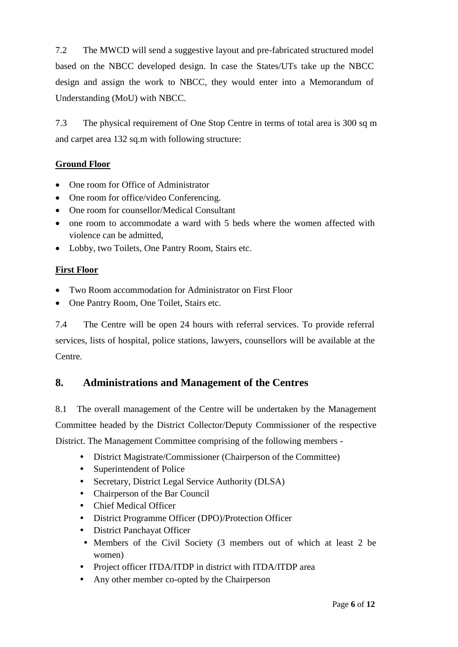7.2 The MWCD will send a suggestive layout and pre-fabricated structured model based on the NBCC developed design. In case the States/UTs take up the NBCC design and assign the work to NBCC, they would enter into a Memorandum of Understanding (MoU) with NBCC.

7.3 The physical requirement of One Stop Centre in terms of total area is 300 sq m and carpet area 132 sq.m with following structure:

# **Ground Floor**

- One room for Office of Administrator
- One room for office/video Conferencing.
- One room for counsellor/Medical Consultant
- one room to accommodate a ward with 5 beds where the women affected with violence can be admitted,
- Lobby, two Toilets, One Pantry Room, Stairs etc.

# **First Floor**

- Two Room accommodation for Administrator on First Floor
- One Pantry Room, One Toilet, Stairs etc.

7.4 The Centre will be open 24 hours with referral services. To provide referral services, lists of hospital, police stations, lawyers, counsellors will be available at the Centre.

# **8. Administrations and Management of the Centres**

8.1 The overall management of the Centre will be undertaken by the Management Committee headed by the District Collector/Deputy Commissioner of the respective District. The Management Committee comprising of the following members -

- *•* District Magistrate/Commissioner (Chairperson of the Committee)
	- *•* Superintendent of Police
	- *•* Secretary, District Legal Service Authority (DLSA)
- *•* Chairperson of the Bar Council
- *•* Chief Medical Officer
- *•* District Programme Officer (DPO)/Protection Officer
- *•* District Panchayat Officer
- *•* Members of the Civil Society (3 members out of which at least 2 be women)
- *•* Project officer ITDA/ITDP in district with ITDA/ITDP area
- *•* Any other member co-opted by the Chairperson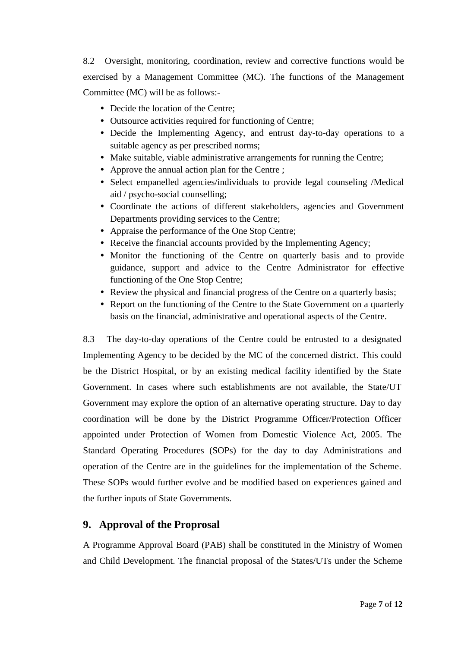8.2 Oversight, monitoring, coordination, review and corrective functions would be exercised by a Management Committee (MC). The functions of the Management Committee (MC) will be as follows:-

- Decide the location of the Centre:
- *•* Outsource activities required for functioning of Centre;
- *•* Decide the Implementing Agency, and entrust day-to-day operations to a suitable agency as per prescribed norms;
- *•* Make suitable, viable administrative arrangements for running the Centre;
- *•* Approve the annual action plan for the Centre ;
- Select empanelled agencies/individuals to provide legal counseling /Medical aid / psycho-social counselling;
- *•* Coordinate the actions of different stakeholders, agencies and Government Departments providing services to the Centre;
- *•* Appraise the performance of the One Stop Centre;
- *•* Receive the financial accounts provided by the Implementing Agency;
- *•* Monitor the functioning of the Centre on quarterly basis and to provide guidance, support and advice to the Centre Administrator for effective functioning of the One Stop Centre;
- *•* Review the physical and financial progress of the Centre on a quarterly basis;
- *•* Report on the functioning of the Centre to the State Government on a quarterly basis on the financial, administrative and operational aspects of the Centre.

8.3 The day-to-day operations of the Centre could be entrusted to a designated Implementing Agency to be decided by the MC of the concerned district. This could be the District Hospital, or by an existing medical facility identified by the State Government. In cases where such establishments are not available, the State/UT Government may explore the option of an alternative operating structure. Day to day coordination will be done by the District Programme Officer/Protection Officer appointed under Protection of Women from Domestic Violence Act, 2005. The Standard Operating Procedures (SOPs) for the day to day Administrations and operation of the Centre are in the guidelines for the implementation of the Scheme. These SOPs would further evolve and be modified based on experiences gained and the further inputs of State Governments.

# **9. Approval of the Proprosal**

A Programme Approval Board (PAB) shall be constituted in the Ministry of Women and Child Development. The financial proposal of the States/UTs under the Scheme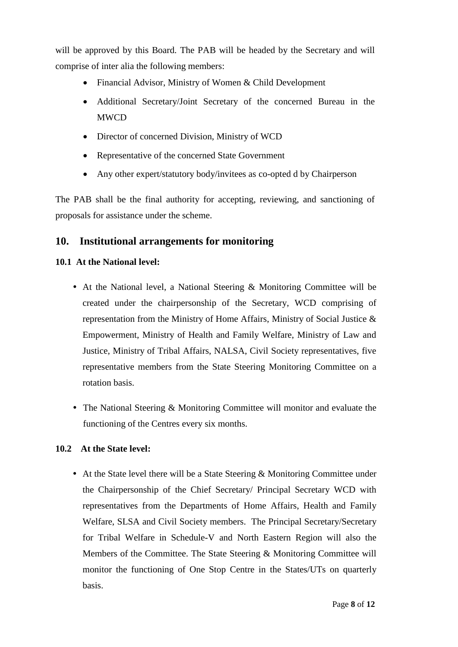will be approved by this Board. The PAB will be headed by the Secretary and will comprise of inter alia the following members:

- Financial Advisor, Ministry of Women & Child Development
- Additional Secretary/Joint Secretary of the concerned Bureau in the **MWCD**
- Director of concerned Division, Ministry of WCD
- Representative of the concerned State Government
- Any other expert/statutory body/invitees as co-opted d by Chairperson

The PAB shall be the final authority for accepting, reviewing, and sanctioning of proposals for assistance under the scheme.

# **10. Institutional arrangements for monitoring**

#### **10.1 At the National level:**

- *•* At the National level, a National Steering & Monitoring Committee will be created under the chairpersonship of the Secretary, WCD comprising of representation from the Ministry of Home Affairs, Ministry of Social Justice & Empowerment, Ministry of Health and Family Welfare, Ministry of Law and Justice, Ministry of Tribal Affairs, NALSA, Civil Society representatives, five representative members from the State Steering Monitoring Committee on a rotation basis.
- *•* The National Steering & Monitoring Committee will monitor and evaluate the functioning of the Centres every six months.

#### **10.2 At the State level:**

• At the State level there will be a State Steering & Monitoring Committee under the Chairpersonship of the Chief Secretary/ Principal Secretary WCD with representatives from the Departments of Home Affairs, Health and Family Welfare, SLSA and Civil Society members. The Principal Secretary/Secretary for Tribal Welfare in Schedule-V and North Eastern Region will also the Members of the Committee. The State Steering & Monitoring Committee will monitor the functioning of One Stop Centre in the States/UTs on quarterly basis.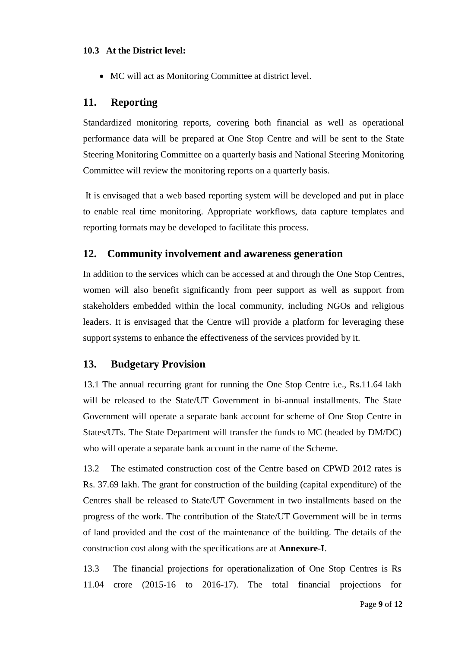#### **10.3 At the District level:**

MC will act as Monitoring Committee at district level.

#### **11. Reporting**

Standardized monitoring reports, covering both financial as well as operational performance data will be prepared at One Stop Centre and will be sent to the State Steering Monitoring Committee on a quarterly basis and National Steering Monitoring Committee will review the monitoring reports on a quarterly basis.

It is envisaged that a web based reporting system will be developed and put in place to enable real time monitoring. Appropriate workflows, data capture templates and reporting formats may be developed to facilitate this process.

#### **12. Community involvement and awareness generation**

In addition to the services which can be accessed at and through the One Stop Centres, women will also benefit significantly from peer support as well as support from stakeholders embedded within the local community, including NGOs and religious leaders. It is envisaged that the Centre will provide a platform for leveraging these support systems to enhance the effectiveness of the services provided by it.

#### **13. Budgetary Provision**

13.1 The annual recurring grant for running the One Stop Centre i.e., Rs.11.64 lakh will be released to the State/UT Government in bi-annual installments. The State Government will operate a separate bank account for scheme of One Stop Centre in States/UTs. The State Department will transfer the funds to MC (headed by DM/DC) who will operate a separate bank account in the name of the Scheme.

13.2 The estimated construction cost of the Centre based on CPWD 2012 rates is Rs. 37.69 lakh. The grant for construction of the building (capital expenditure) of the Centres shall be released to State/UT Government in two installments based on the progress of the work. The contribution of the State/UT Government will be in terms of land provided and the cost of the maintenance of the building. The details of the construction cost along with the specifications are at **Annexure-I**.

13.3 The financial projections for operationalization of One Stop Centres is Rs 11.04 crore (2015-16 to 2016-17). The total financial projections for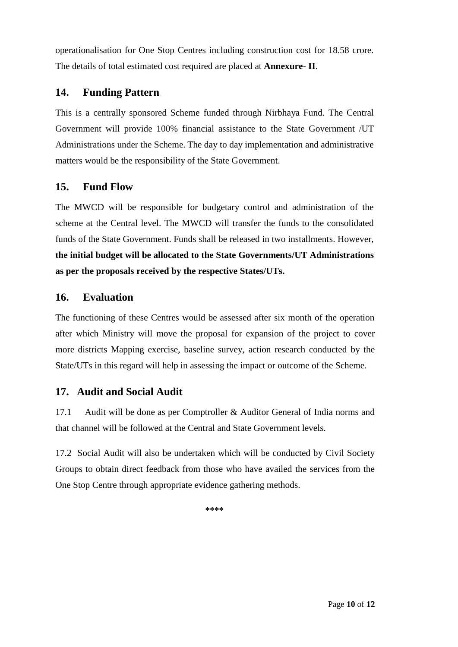operationalisation for One Stop Centres including construction cost for 18.58 crore. The details of total estimated cost required are placed at **Annexure- II**.

# **14. Funding Pattern**

This is a centrally sponsored Scheme funded through Nirbhaya Fund. The Central Government will provide 100% financial assistance to the State Government /UT Administrations under the Scheme. The day to day implementation and administrative matters would be the responsibility of the State Government.

# **15. Fund Flow**

The MWCD will be responsible for budgetary control and administration of the scheme at the Central level. The MWCD will transfer the funds to the consolidated funds of the State Government. Funds shall be released in two installments. However, **the initial budget will be allocated to the State Governments/UT Administrations as per the proposals received by the respective States/UTs.**

# **16. Evaluation**

The functioning of these Centres would be assessed after six month of the operation after which Ministry will move the proposal for expansion of the project to cover more districts Mapping exercise, baseline survey, action research conducted by the State/UTs in this regard will help in assessing the impact or outcome of the Scheme.

# **17. Audit and Social Audit**

17.1 Audit will be done as per Comptroller & Auditor General of India norms and that channel will be followed at the Central and State Government levels.

17.2 Social Audit will also be undertaken which will be conducted by Civil Society Groups to obtain direct feedback from those who have availed the services from the One Stop Centre through appropriate evidence gathering methods.

**\*\*\*\***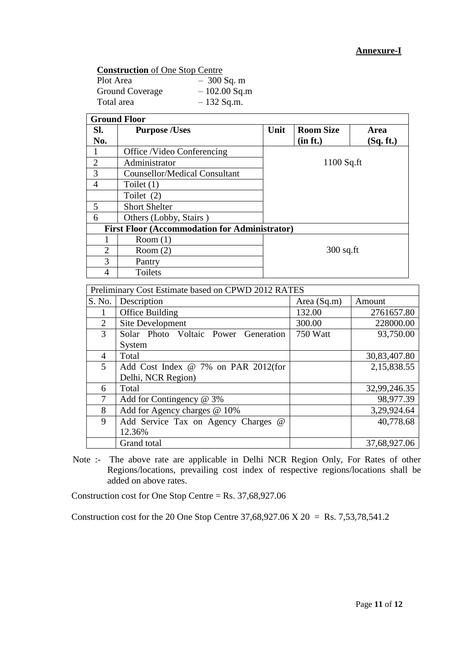| <b>Construction</b> of One Stop Centre |                |  |  |  |  |  |
|----------------------------------------|----------------|--|--|--|--|--|
| Plot Area                              | $-300$ Sq. m   |  |  |  |  |  |
| <b>Ground Coverage</b>                 | $-102.00$ Sq.m |  |  |  |  |  |
| Total area                             | $-132$ Sq.m.   |  |  |  |  |  |

| SI.<br>No.     | <b>Purpose /Uses</b>                                 | Unit | <b>Room Size</b><br>(in ft.) | <b>Area</b><br>(Sq. ft.) |
|----------------|------------------------------------------------------|------|------------------------------|--------------------------|
|                | Office /Video Conferencing                           |      |                              |                          |
| $\overline{2}$ | Administrator                                        |      | $1100$ Sq.ft                 |                          |
| 3              | <b>Counsellor/Medical Consultant</b>                 |      |                              |                          |
| $\overline{4}$ | Toilet $(1)$                                         |      |                              |                          |
|                | Toilet (2)                                           |      |                              |                          |
| 5              | <b>Short Shelter</b>                                 |      |                              |                          |
| 6              | Others (Lobby, Stairs)                               |      |                              |                          |
|                | <b>First Floor (Accommodation for Administrator)</b> |      |                              |                          |
|                | Room(1)                                              |      |                              |                          |
| $\overline{2}$ | Room $(2)$                                           |      | $300$ sq.ft                  |                          |
| 3              | Pantry                                               |      |                              |                          |
| 4              | Toilets                                              |      |                              |                          |
|                | Preliminary Cost Estimate based on CPWD 2012 RATES   |      |                              |                          |
| S. No.         | Description                                          |      | Area (Sq.m)                  | Amount                   |
| 1              | Office Building                                      |      | 132.00                       | 2761657.80               |
| 2              | Site Development                                     |      | 300.00                       | 228000.00                |
| 3              | Solar Photo Voltaic Power Generation<br>System       |      | 750 Watt                     | 93,750.00                |

|                                                                                    | Total                               |  | 32,99,246.35 |  |  |
|------------------------------------------------------------------------------------|-------------------------------------|--|--------------|--|--|
|                                                                                    | Add for Contingency @ 3%            |  | 98,977.39    |  |  |
|                                                                                    | Add for Agency charges @ 10%        |  | 3,29,924.64  |  |  |
|                                                                                    | Add Service Tax on Agency Charges @ |  | 40,778.68    |  |  |
|                                                                                    | 12.36%                              |  |              |  |  |
|                                                                                    | Grand total                         |  | 37,68,927.06 |  |  |
| Note :- The above rate are applicable in Delhi NCR Region Only, For Rates of other |                                     |  |              |  |  |

4 Total 30,83,407.80

Note :- The above rate are applicable in Delhi NCR Region Only, For Rates of other Regions/locations, prevailing cost index of respective regions/locations shall be added on above rates.

Construction cost for One Stop Centre = Rs. 37,68,927.06

5 Add Cost Index @ 7% on PAR 2012(for

Delhi, NCR Region)

Construction cost for the 20 One Stop Centre 37,68,927.06 X 20 = Rs. 7,53,78,541.2

2,15,838.55